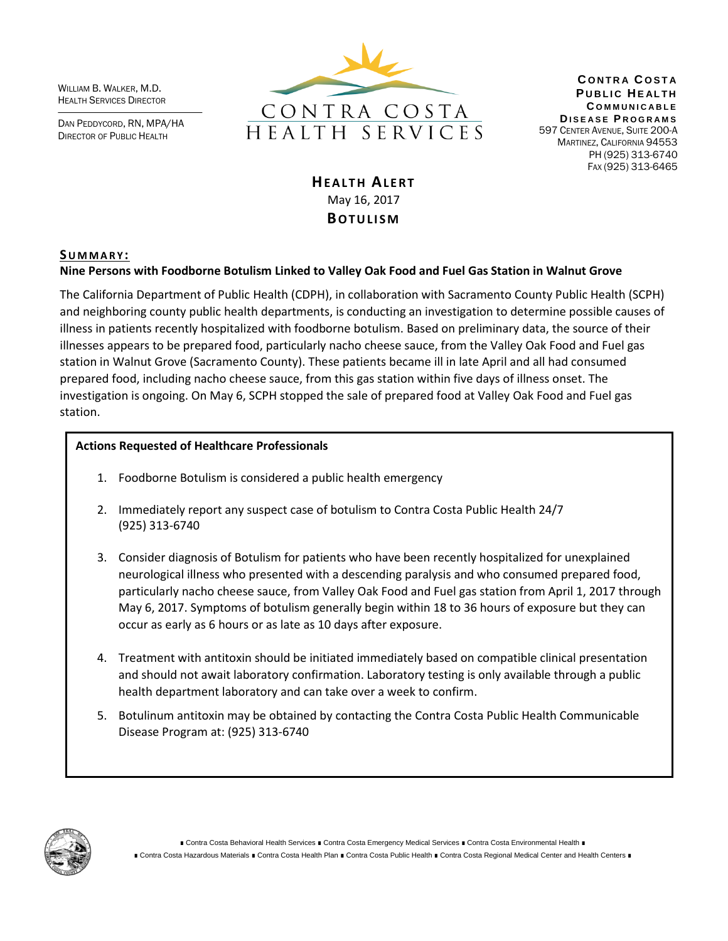WILLIAM B. WALKER, M.D. HEALTH SERVICES DIRECTOR

DAN PEDDYCORD, RN, MPA/HA DIRECTOR OF PUBLIC HEALTH



**C O N T R A C O S T A PUBLIC HEALTH C O M M U N I C A B L E D I S E A S E P R O G R A M S** 597 CENTER AVENUE, SUITE 200-A MARTINEZ, CALIFORNIA 94553 PH (925) 313-6740 FAX (925) 313-6465

# **HEALTH ALFRT** May 16, 2017 **BOTULISM**

## **SU M M A R Y :**

## **Nine Persons with Foodborne Botulism Linked to Valley Oak Food and Fuel Gas Station in Walnut Grove**

The California Department of Public Health (CDPH), in collaboration with Sacramento County Public Health (SCPH) and neighboring county public health departments, is conducting an investigation to determine possible causes of illness in patients recently hospitalized with foodborne botulism. Based on preliminary data, the source of their illnesses appears to be prepared food, particularly nacho cheese sauce, from the Valley Oak Food and Fuel gas station in Walnut Grove (Sacramento County). These patients became ill in late April and all had consumed prepared food, including nacho cheese sauce, from this gas station within five days of illness onset. The investigation is ongoing. On May 6, SCPH stopped the sale of prepared food at Valley Oak Food and Fuel gas station.

### **Actions Requested of Healthcare Professionals**

- 1. Foodborne Botulism is considered a public health emergency
- 2. Immediately report any suspect case of botulism to Contra Costa Public Health 24/7 (925) 313-6740
- 3. Consider diagnosis of Botulism for patients who have been recently hospitalized for unexplained neurological illness who presented with a descending paralysis and who consumed prepared food, particularly nacho cheese sauce, from Valley Oak Food and Fuel gas station from April 1, 2017 through May 6, 2017. Symptoms of botulism generally begin within 18 to 36 hours of exposure but they can occur as early as 6 hours or as late as 10 days after exposure.
- 4. Treatment with antitoxin should be initiated immediately based on compatible clinical presentation and should not await laboratory confirmation. Laboratory testing is only available through a public health department laboratory and can take over a week to confirm.
- 5. Botulinum antitoxin may be obtained by contacting the Contra Costa Public Health Communicable Disease Program at: (925) 313-6740